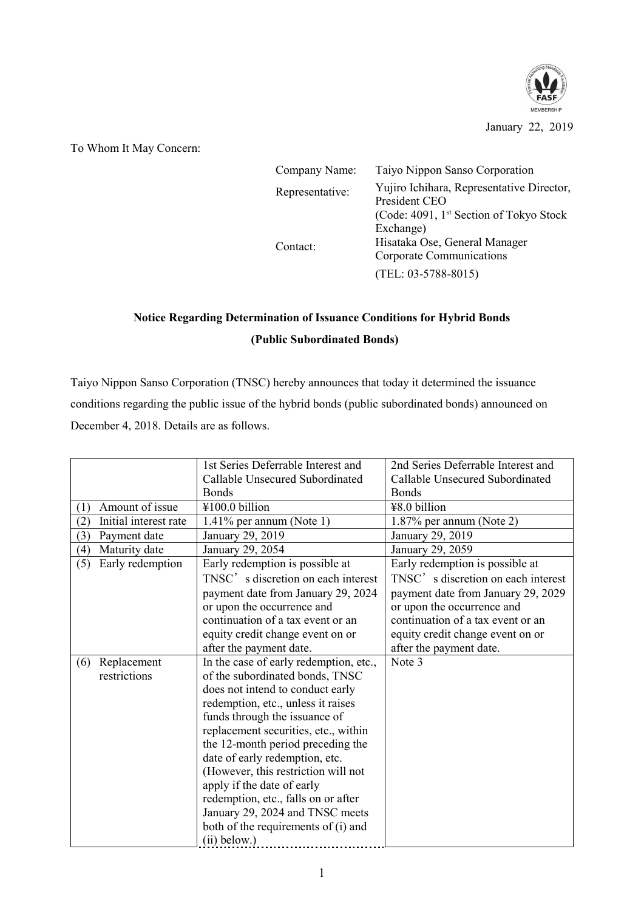

January 22, 2019

To Whom It May Concern:

| Company Name:   | Taiyo Nippon Sanso Corporation                             |  |
|-----------------|------------------------------------------------------------|--|
| Representative: | Yujiro Ichihara, Representative Director,<br>President CEO |  |
|                 | (Code: 4091, 1st Section of Tokyo Stock                    |  |
|                 | Exchange)                                                  |  |
| Contact:        | Hisataka Ose, General Manager                              |  |
|                 | Corporate Communications                                   |  |
|                 | $(TEL: 03-5788-8015)$                                      |  |

## **Notice Regarding Determination of Issuance Conditions for Hybrid Bonds (Public Subordinated Bonds)**

Taiyo Nippon Sanso Corporation (TNSC) hereby announces that today it determined the issuance conditions regarding the public issue of the hybrid bonds (public subordinated bonds) announced on December 4, 2018. Details are as follows.

|                              | 1st Series Deferrable Interest and     | 2nd Series Deferrable Interest and |
|------------------------------|----------------------------------------|------------------------------------|
|                              | Callable Unsecured Subordinated        | Callable Unsecured Subordinated    |
|                              | <b>Bonds</b>                           | <b>Bonds</b>                       |
| Amount of issue<br>(1)       | ¥100.0 billion                         | ¥8.0 billion                       |
| Initial interest rate<br>(2) | $1.41\%$ per annum (Note 1)            | 1.87% per annum (Note 2)           |
| (3)<br>Payment date          | January 29, 2019                       | January 29, 2019                   |
| Maturity date<br>(4)         | January 29, 2054                       | January 29, 2059                   |
| Early redemption<br>(5)      | Early redemption is possible at        | Early redemption is possible at    |
|                              | TNSC's discretion on each interest     | TNSC's discretion on each interest |
|                              | payment date from January 29, 2024     | payment date from January 29, 2029 |
|                              | or upon the occurrence and             | or upon the occurrence and         |
|                              | continuation of a tax event or an      | continuation of a tax event or an  |
|                              | equity credit change event on or       | equity credit change event on or   |
|                              | after the payment date.                | after the payment date.            |
| Replacement<br>(6)           | In the case of early redemption, etc., | Note 3                             |
| restrictions                 | of the subordinated bonds, TNSC        |                                    |
|                              | does not intend to conduct early       |                                    |
|                              | redemption, etc., unless it raises     |                                    |
|                              | funds through the issuance of          |                                    |
|                              | replacement securities, etc., within   |                                    |
|                              | the 12-month period preceding the      |                                    |
|                              | date of early redemption, etc.         |                                    |
|                              | (However, this restriction will not    |                                    |
|                              | apply if the date of early             |                                    |
|                              | redemption, etc., falls on or after    |                                    |
|                              | January 29, 2024 and TNSC meets        |                                    |
|                              | both of the requirements of (i) and    |                                    |
|                              | $(ii)$ below.)                         |                                    |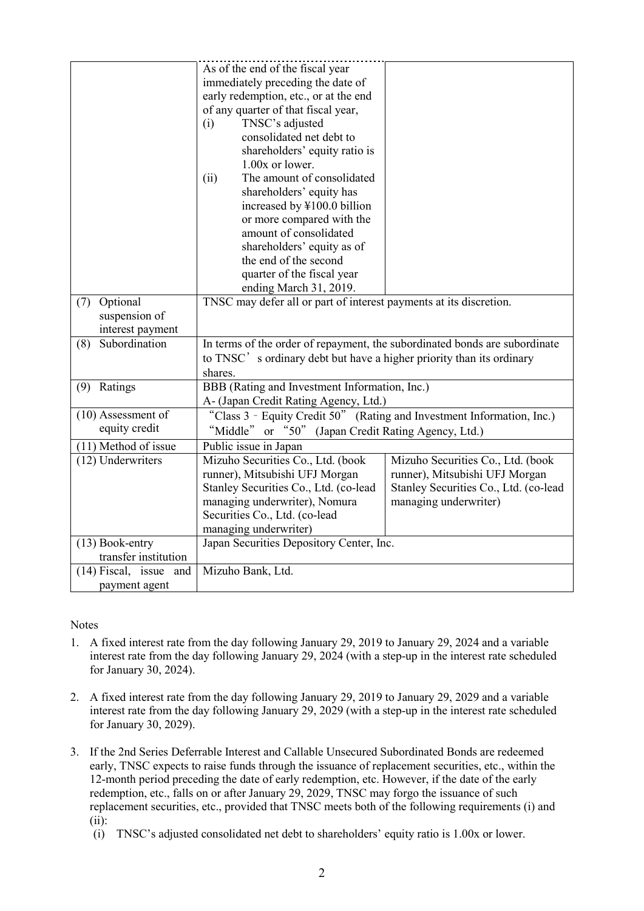| Optional<br>(7)<br>suspension of             | As of the end of the fiscal year<br>immediately preceding the date of<br>early redemption, etc., or at the end<br>of any quarter of that fiscal year,<br>TNSC's adjusted<br>(i)<br>consolidated net debt to<br>shareholders' equity ratio is<br>1.00x or lower.<br>The amount of consolidated<br>(ii)<br>shareholders' equity has<br>increased by ¥100.0 billion<br>or more compared with the<br>amount of consolidated<br>shareholders' equity as of<br>the end of the second<br>quarter of the fiscal year<br>ending March 31, 2019.<br>TNSC may defer all or part of interest payments at its discretion. |                                                                                                                                       |  |
|----------------------------------------------|--------------------------------------------------------------------------------------------------------------------------------------------------------------------------------------------------------------------------------------------------------------------------------------------------------------------------------------------------------------------------------------------------------------------------------------------------------------------------------------------------------------------------------------------------------------------------------------------------------------|---------------------------------------------------------------------------------------------------------------------------------------|--|
| interest payment                             |                                                                                                                                                                                                                                                                                                                                                                                                                                                                                                                                                                                                              |                                                                                                                                       |  |
| Subordination<br>(8)                         | In terms of the order of repayment, the subordinated bonds are subordinate                                                                                                                                                                                                                                                                                                                                                                                                                                                                                                                                   |                                                                                                                                       |  |
|                                              | to TNSC's ordinary debt but have a higher priority than its ordinary<br>shares.                                                                                                                                                                                                                                                                                                                                                                                                                                                                                                                              |                                                                                                                                       |  |
| Ratings<br>(9)                               | BBB (Rating and Investment Information, Inc.)                                                                                                                                                                                                                                                                                                                                                                                                                                                                                                                                                                |                                                                                                                                       |  |
|                                              | A- (Japan Credit Rating Agency, Ltd.)                                                                                                                                                                                                                                                                                                                                                                                                                                                                                                                                                                        |                                                                                                                                       |  |
| $(10)$ Assessment of                         | "Class 3 - Equity Credit 50" (Rating and Investment Information, Inc.)                                                                                                                                                                                                                                                                                                                                                                                                                                                                                                                                       |                                                                                                                                       |  |
| equity credit                                | "Middle" or "50" (Japan Credit Rating Agency, Ltd.)                                                                                                                                                                                                                                                                                                                                                                                                                                                                                                                                                          |                                                                                                                                       |  |
| (11) Method of issue                         | Public issue in Japan                                                                                                                                                                                                                                                                                                                                                                                                                                                                                                                                                                                        |                                                                                                                                       |  |
| (12) Underwriters                            | Mizuho Securities Co., Ltd. (book<br>runner), Mitsubishi UFJ Morgan<br>Stanley Securities Co., Ltd. (co-lead<br>managing underwriter), Nomura<br>Securities Co., Ltd. (co-lead<br>managing underwriter)                                                                                                                                                                                                                                                                                                                                                                                                      | Mizuho Securities Co., Ltd. (book<br>runner), Mitsubishi UFJ Morgan<br>Stanley Securities Co., Ltd. (co-lead<br>managing underwriter) |  |
| $(13)$ Book-entry<br>transfer institution    | Japan Securities Depository Center, Inc.                                                                                                                                                                                                                                                                                                                                                                                                                                                                                                                                                                     |                                                                                                                                       |  |
| $(14)$ Fiscal, issue<br>and<br>payment agent | Mizuho Bank, Ltd.                                                                                                                                                                                                                                                                                                                                                                                                                                                                                                                                                                                            |                                                                                                                                       |  |

**Notes** 

- 1. A fixed interest rate from the day following January 29, 2019 to January 29, 2024 and a variable interest rate from the day following January 29, 2024 (with a step-up in the interest rate scheduled for January 30, 2024).
- 2. A fixed interest rate from the day following January 29, 2019 to January 29, 2029 and a variable interest rate from the day following January 29, 2029 (with a step-up in the interest rate scheduled for January 30, 2029).
- 3. If the 2nd Series Deferrable Interest and Callable Unsecured Subordinated Bonds are redeemed early, TNSC expects to raise funds through the issuance of replacement securities, etc., within the 12-month period preceding the date of early redemption, etc. However, if the date of the early redemption, etc., falls on or after January 29, 2029, TNSC may forgo the issuance of such replacement securities, etc., provided that TNSC meets both of the following requirements (i) and (ii):
	- (i) TNSC's adjusted consolidated net debt to shareholders' equity ratio is 1.00x or lower.